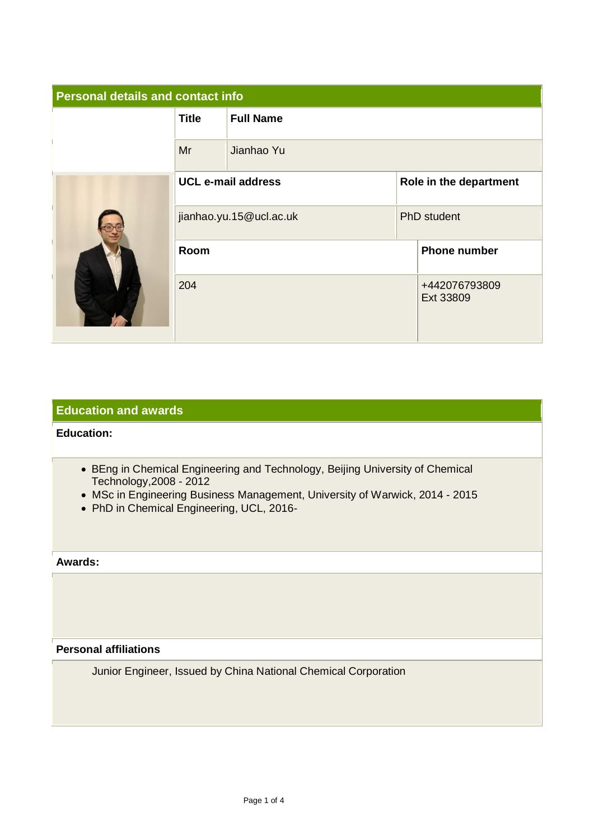| <b>Personal details and contact info</b> |                           |                  |                        |                            |
|------------------------------------------|---------------------------|------------------|------------------------|----------------------------|
|                                          | <b>Title</b>              | <b>Full Name</b> |                        |                            |
|                                          | Mr                        | Jianhao Yu       |                        |                            |
|                                          | <b>UCL e-mail address</b> |                  | Role in the department |                            |
|                                          | jianhao.yu.15@ucl.ac.uk   |                  | <b>PhD</b> student     |                            |
|                                          | Room                      |                  |                        | <b>Phone number</b>        |
|                                          | 204                       |                  |                        | +442076793809<br>Ext 33809 |

# **Education and awards**

# **Education:**

- BEng in Chemical Engineering and Technology, Beijing University of Chemical Technology,2008 - 2012
- MSc in Engineering Business Management, University of Warwick, 2014 2015
- PhD in Chemical Engineering, UCL, 2016-

### **Awards:**

**Personal affiliations**

Junior Engineer, Issued by China National Chemical Corporation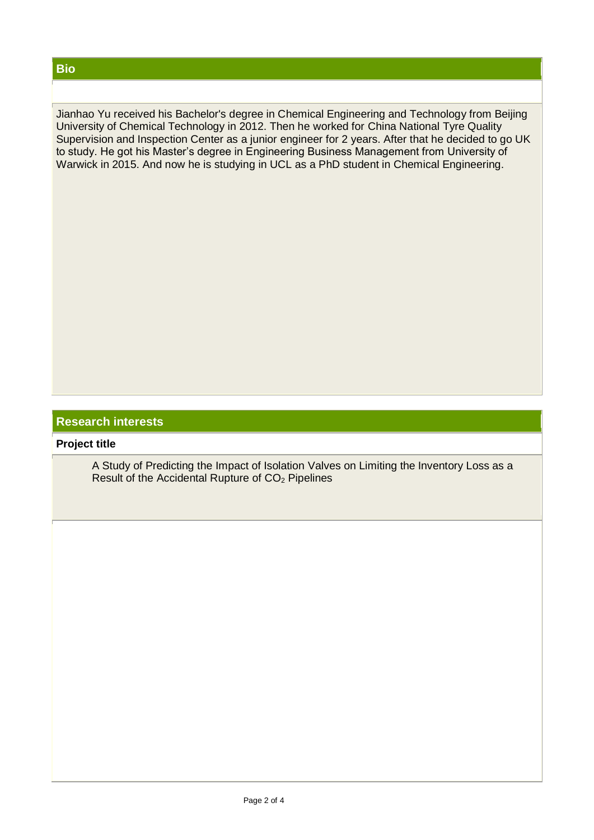Jianhao Yu received his Bachelor's degree in Chemical Engineering and Technology from Beijing University of Chemical Technology in 2012. Then he worked for China National Tyre Quality Supervision and Inspection Center as a junior engineer for 2 years. After that he decided to go UK to study. He got his Master's degree in Engineering Business Management from University of Warwick in 2015. And now he is studying in UCL as a PhD student in Chemical Engineering.

# **Research interests**

### **Project title**

A Study of Predicting the Impact of Isolation Valves on Limiting the Inventory Loss as a Result of the Accidental Rupture of  $CO<sub>2</sub>$  Pipelines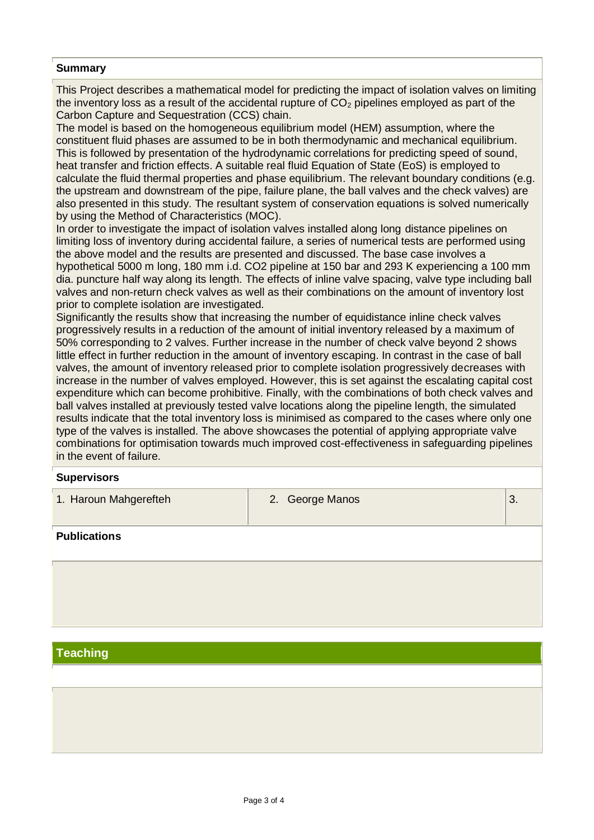#### **Summary**

This Project describes a mathematical model for predicting the impact of isolation valves on limiting the inventory loss as a result of the accidental rupture of  $CO<sub>2</sub>$  pipelines employed as part of the Carbon Capture and Sequestration (CCS) chain.

The model is based on the homogeneous equilibrium model (HEM) assumption, where the constituent fluid phases are assumed to be in both thermodynamic and mechanical equilibrium. This is followed by presentation of the hydrodynamic correlations for predicting speed of sound, heat transfer and friction effects. A suitable real fluid Equation of State (EoS) is employed to calculate the fluid thermal properties and phase equilibrium. The relevant boundary conditions (e.g. the upstream and downstream of the pipe, failure plane, the ball valves and the check valves) are also presented in this study. The resultant system of conservation equations is solved numerically by using the Method of Characteristics (MOC).

In order to investigate the impact of isolation valves installed along long distance pipelines on limiting loss of inventory during accidental failure, a series of numerical tests are performed using the above model and the results are presented and discussed. The base case involves a hypothetical 5000 m long, 180 mm i.d. CO2 pipeline at 150 bar and 293 K experiencing a 100 mm dia. puncture half way along its length. The effects of inline valve spacing, valve type including ball valves and non-return check valves as well as their combinations on the amount of inventory lost prior to complete isolation are investigated.

Significantly the results show that increasing the number of equidistance inline check valves progressively results in a reduction of the amount of initial inventory released by a maximum of 50% corresponding to 2 valves. Further increase in the number of check valve beyond 2 shows little effect in further reduction in the amount of inventory escaping. In contrast in the case of ball valves, the amount of inventory released prior to complete isolation progressively decreases with increase in the number of valves employed. However, this is set against the escalating capital cost expenditure which can become prohibitive. Finally, with the combinations of both check valves and ball valves installed at previously tested valve locations along the pipeline length, the simulated results indicate that the total inventory loss is minimised as compared to the cases where only one type of the valves is installed. The above showcases the potential of applying appropriate valve combinations for optimisation towards much improved cost-effectiveness in safeguarding pipelines in the event of failure.

#### **Supervisors**

1. Haroun Mahgerefteh 2. George Manos 3.

**Publications**

# **Teaching**